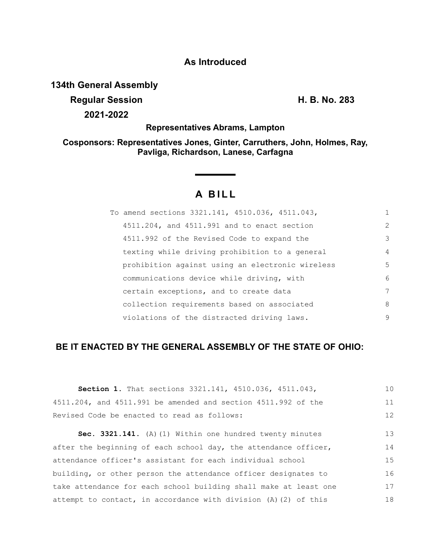### **As Introduced**

### **134th General Assembly**

**Regular Session H. B. No. 283 2021-2022**

**Representatives Abrams, Lampton**

**Cosponsors: Representatives Jones, Ginter, Carruthers, John, Holmes, Ray, Pavliga, Richardson, Lanese, Carfagna**

# **A BILL**

| To amend sections 3321.141, 4510.036, 4511.043,  |                |
|--------------------------------------------------|----------------|
| 4511.204, and 4511.991 and to enact section      | $\overline{2}$ |
| 4511.992 of the Revised Code to expand the       | 3              |
| texting while driving prohibition to a general   | $\overline{4}$ |
| prohibition against using an electronic wireless | 5              |
| communications device while driving, with        | 6              |
| certain exceptions, and to create data           | 7              |
| collection requirements based on associated      | 8              |
| violations of the distracted driving laws.       | 9              |

## **BE IT ENACTED BY THE GENERAL ASSEMBLY OF THE STATE OF OHIO:**

| Section 1. That sections 3321.141, 4510.036, 4511.043,            | 10 |
|-------------------------------------------------------------------|----|
| 4511.204, and 4511.991 be amended and section 4511.992 of the     | 11 |
| Revised Code be enacted to read as follows:                       | 12 |
| Sec. 3321.141. (A) (1) Within one hundred twenty minutes          | 13 |
| after the beginning of each school day, the attendance officer,   | 14 |
| attendance officer's assistant for each individual school         | 15 |
| building, or other person the attendance officer designates to    | 16 |
| take attendance for each school building shall make at least one  | 17 |
| attempt to contact, in accordance with division $(A)$ (2) of this | 18 |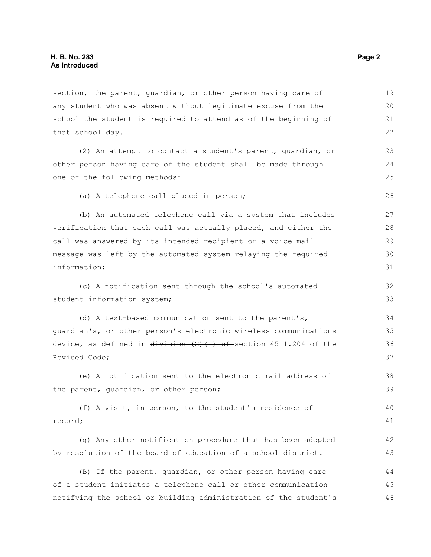section, the parent, guardian, or other person having care of any student who was absent without legitimate excuse from the school the student is required to attend as of the beginning of that school day. (2) An attempt to contact a student's parent, guardian, or other person having care of the student shall be made through one of the following methods: (a) A telephone call placed in person; (b) An automated telephone call via a system that includes 19 20 21 22 23 24 25 26 27

verification that each call was actually placed, and either the call was answered by its intended recipient or a voice mail message was left by the automated system relaying the required information; 28 29 30 31

(c) A notification sent through the school's automated student information system;

(d) A text-based communication sent to the parent's, guardian's, or other person's electronic wireless communications device, as defined in  $\frac{div}{\sinh(\theta)}$  (f) (1) of section 4511.204 of the Revised Code; 34 35 36 37

(e) A notification sent to the electronic mail address of the parent, guardian, or other person; 38 39

(f) A visit, in person, to the student's residence of record; 40 41

(g) Any other notification procedure that has been adopted by resolution of the board of education of a school district.

(B) If the parent, guardian, or other person having care of a student initiates a telephone call or other communication notifying the school or building administration of the student's 44 45 46

32 33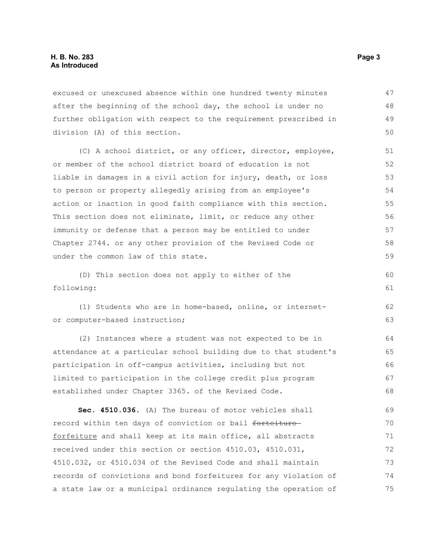excused or unexcused absence within one hundred twenty minutes after the beginning of the school day, the school is under no further obligation with respect to the requirement prescribed in division (A) of this section. 47 48 49 50

(C) A school district, or any officer, director, employee, or member of the school district board of education is not liable in damages in a civil action for injury, death, or loss to person or property allegedly arising from an employee's action or inaction in good faith compliance with this section. This section does not eliminate, limit, or reduce any other immunity or defense that a person may be entitled to under Chapter 2744. or any other provision of the Revised Code or under the common law of this state.

(D) This section does not apply to either of the following: 60 61

(1) Students who are in home-based, online, or internetor computer-based instruction;

(2) Instances where a student was not expected to be in attendance at a particular school building due to that student's participation in off-campus activities, including but not limited to participation in the college credit plus program established under Chapter 3365. of the Revised Code. 64 65 66 67 68

**Sec. 4510.036.** (A) The bureau of motor vehicles shall record within ten days of conviction or bail forteiture forfeiture and shall keep at its main office, all abstracts received under this section or section 4510.03, 4510.031, 4510.032, or 4510.034 of the Revised Code and shall maintain records of convictions and bond forfeitures for any violation of a state law or a municipal ordinance regulating the operation of 69 70 71 72 73 74 75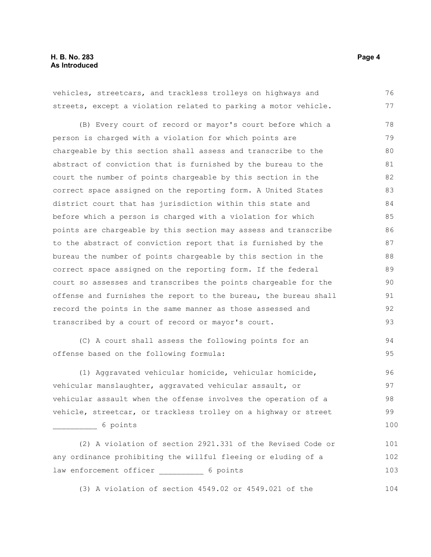vehicles, streetcars, and trackless trolleys on highways and streets, except a violation related to parking a motor vehicle. (B) Every court of record or mayor's court before which a person is charged with a violation for which points are chargeable by this section shall assess and transcribe to the abstract of conviction that is furnished by the bureau to the court the number of points chargeable by this section in the correct space assigned on the reporting form. A United States district court that has jurisdiction within this state and before which a person is charged with a violation for which points are chargeable by this section may assess and transcribe to the abstract of conviction report that is furnished by the bureau the number of points chargeable by this section in the correct space assigned on the reporting form. If the federal court so assesses and transcribes the points chargeable for the offense and furnishes the report to the bureau, the bureau shall record the points in the same manner as those assessed and transcribed by a court of record or mayor's court. 76 77 78 79 80 81 82 83 84 85 86 87 88 89 90 91 92 93

(C) A court shall assess the following points for an offense based on the following formula:

(1) Aggravated vehicular homicide, vehicular homicide, vehicular manslaughter, aggravated vehicular assault, or vehicular assault when the offense involves the operation of a vehicle, streetcar, or trackless trolley on a highway or street \_\_\_\_\_\_\_\_\_\_ 6 points 96 97 98 99 100

(2) A violation of section 2921.331 of the Revised Code or any ordinance prohibiting the willful fleeing or eluding of a law enforcement officer \_\_\_\_\_\_\_\_\_\_ 6 points 101 102 103

(3) A violation of section 4549.02 or 4549.021 of the

94 95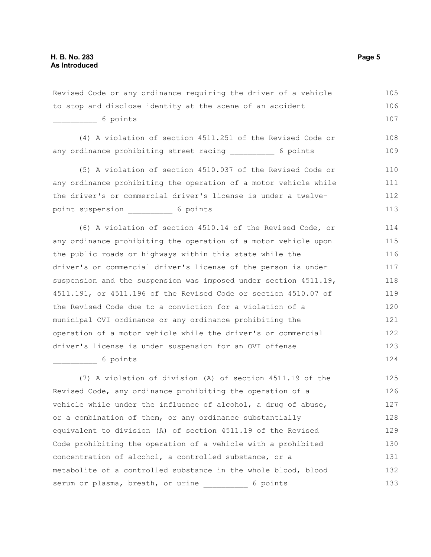Revised Code or any ordinance requiring the driver of a vehicle to stop and disclose identity at the scene of an accident \_\_\_\_\_\_\_\_\_\_ 6 points (4) A violation of section 4511.251 of the Revised Code or any ordinance prohibiting street racing any ordinance prohibiting street racing (5) A violation of section 4510.037 of the Revised Code or any ordinance prohibiting the operation of a motor vehicle while the driver's or commercial driver's license is under a twelvepoint suspension 6 points (6) A violation of section 4510.14 of the Revised Code, or any ordinance prohibiting the operation of a motor vehicle upon the public roads or highways within this state while the driver's or commercial driver's license of the person is under suspension and the suspension was imposed under section 4511.19, 4511.191, or 4511.196 of the Revised Code or section 4510.07 of the Revised Code due to a conviction for a violation of a municipal OVI ordinance or any ordinance prohibiting the operation of a motor vehicle while the driver's or commercial driver's license is under suspension for an OVI offense \_\_\_\_\_\_\_\_\_\_ 6 points (7) A violation of division (A) of section 4511.19 of the Revised Code, any ordinance prohibiting the operation of a vehicle while under the influence of alcohol, a drug of abuse, or a combination of them, or any ordinance substantially equivalent to division (A) of section 4511.19 of the Revised Code prohibiting the operation of a vehicle with a prohibited 105 106 107 108 109 110 111 112 113 114 115 116 117 118 119 120 121 122 123 124 125 126 127 128 129 130

concentration of alcohol, a controlled substance, or a metabolite of a controlled substance in the whole blood, blood serum or plasma, breath, or urine \_\_\_\_\_\_\_\_\_ 6 points 131 132 133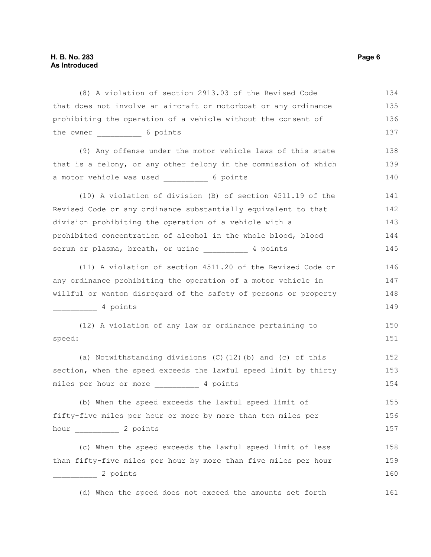(8) A violation of section 2913.03 of the Revised Code that does not involve an aircraft or motorboat or any ordinance prohibiting the operation of a vehicle without the consent of the owner 6 points (9) Any offense under the motor vehicle laws of this state that is a felony, or any other felony in the commission of which a motor vehicle was used 6 points (10) A violation of division (B) of section 4511.19 of the Revised Code or any ordinance substantially equivalent to that division prohibiting the operation of a vehicle with a prohibited concentration of alcohol in the whole blood, blood serum or plasma, breath, or urine \_\_\_\_\_\_\_\_\_\_ 4 points (11) A violation of section 4511.20 of the Revised Code or any ordinance prohibiting the operation of a motor vehicle in willful or wanton disregard of the safety of persons or property \_\_\_\_\_\_\_\_\_\_ 4 points (12) A violation of any law or ordinance pertaining to speed: (a) Notwithstanding divisions (C)(12)(b) and (c) of this section, when the speed exceeds the lawful speed limit by thirty miles per hour or more \_\_\_\_\_\_\_\_\_\_ 4 points (b) When the speed exceeds the lawful speed limit of fifty-five miles per hour or more by more than ten miles per hour 2 points (c) When the speed exceeds the lawful speed limit of less than fifty-five miles per hour by more than five miles per hour \_\_\_\_\_\_\_\_\_\_ 2 points (d) When the speed does not exceed the amounts set forth 134 135 136 137 138 139 140 141 142 143 144 145 146 147 148 149 150 151 152 153 154 155 156 157 158 159 160 161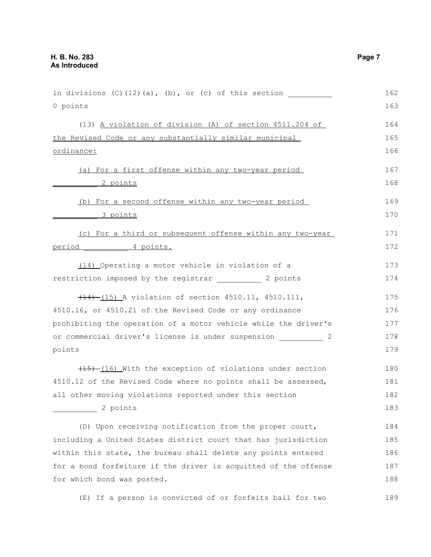| in divisions $(C)$ $(12)$ $(a)$ , $(b)$ , or $(c)$ of this section | 162 |
|--------------------------------------------------------------------|-----|
| 0 points                                                           | 163 |
| (13) A violation of division (A) of section 4511.204 of            | 164 |
| the Revised Code or any substantially similar municipal            | 165 |
| ordinance:                                                         | 166 |
| (a) For a first offense within any two-year period                 | 167 |
| <u>2 points</u>                                                    | 168 |
| (b) For a second offense within any two-year period                | 169 |
| <u>3 points</u>                                                    | 170 |
| (c) For a third or subsequent offense within any two-year          | 171 |
| 4 points.<br><u>period</u>                                         | 172 |
| (14) Operating a motor vehicle in violation of a                   | 173 |
| restriction imposed by the registrar and the 2 points              | 174 |
| (14) (15) A violation of section 4510.11, 4510.111,                | 175 |
| 4510.16, or 4510.21 of the Revised Code or any ordinance           | 176 |
| prohibiting the operation of a motor vehicle while the driver's    | 177 |
| or commercial driver's license is under suspension<br>2            | 178 |
| points                                                             | 179 |
| $(15)$ $(16)$ With the exception of violations under section       | 180 |
| 4510.12 of the Revised Code where no points shall be assessed,     | 181 |
| all other moving violations reported under this section            | 182 |
| 2 points                                                           | 183 |
| (D) Upon receiving notification from the proper court,             | 184 |
| including a United States district court that has jurisdiction     | 185 |
| within this state, the bureau shall delete any points entered      | 186 |
| for a bond forfeiture if the driver is acquitted of the offense    | 187 |
| for which bond was posted.                                         | 188 |
| (E) If a person is convicted of or forfeits bail for two           | 189 |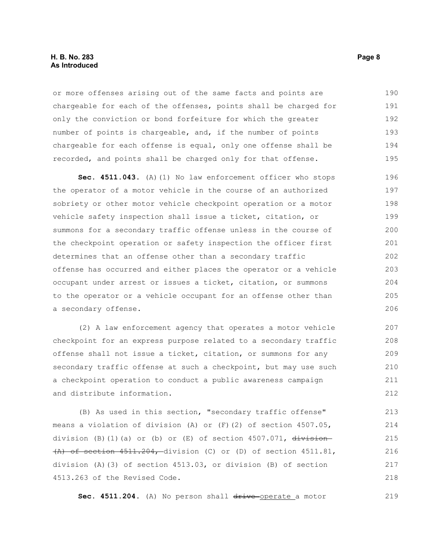#### **H. B. No. 283 Page 8 As Introduced**

or more offenses arising out of the same facts and points are chargeable for each of the offenses, points shall be charged for only the conviction or bond forfeiture for which the greater number of points is chargeable, and, if the number of points chargeable for each offense is equal, only one offense shall be recorded, and points shall be charged only for that offense. 190 191 192 193 194 195

**Sec. 4511.043.** (A)(1) No law enforcement officer who stops the operator of a motor vehicle in the course of an authorized sobriety or other motor vehicle checkpoint operation or a motor vehicle safety inspection shall issue a ticket, citation, or summons for a secondary traffic offense unless in the course of the checkpoint operation or safety inspection the officer first determines that an offense other than a secondary traffic offense has occurred and either places the operator or a vehicle occupant under arrest or issues a ticket, citation, or summons to the operator or a vehicle occupant for an offense other than a secondary offense. 196 197 198 199 200 201 202 203 204 205 206

(2) A law enforcement agency that operates a motor vehicle checkpoint for an express purpose related to a secondary traffic offense shall not issue a ticket, citation, or summons for any secondary traffic offense at such a checkpoint, but may use such a checkpoint operation to conduct a public awareness campaign and distribute information.

(B) As used in this section, "secondary traffic offense" means a violation of division (A) or (F)(2) of section 4507.05, division (B)(1)(a) or (b) or (E) of section 4507.071,  $\frac{division}{ }$ (A) of section 4511.204, division (C) or (D) of section 4511.81, division (A)(3) of section 4513.03, or division (B) of section 4513.263 of the Revised Code.

Sec. 4511.204. (A) No person shall drive-operate a motor

219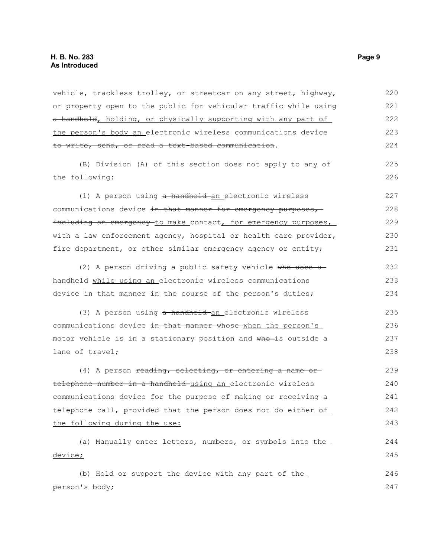vehicle, trackless trolley, or streetcar on any street, highway, or property open to the public for vehicular traffic while using a handheld, holding, or physically supporting with any part of the person's body an electronic wireless communications device to write, send, or read a text-based communication. (B) Division (A) of this section does not apply to any of the following: (1) A person using a handheld an electronic wireless communications device in that manner for emergency purposes, including an emergency to make contact, for emergency purposes, with a law enforcement agency, hospital or health care provider, fire department, or other similar emergency agency or entity; (2) A person driving a public safety vehicle who uses a handheld while using an electronic wireless communications device in that manner in the course of the person's duties; (3) A person using a handheld an electronic wireless communications device in that manner whose when the person's motor vehicle is in a stationary position and who is outside a lane of travel; (4) A person reading, selecting, or entering a name ortelephone number in a handheld using an electronic wireless communications device for the purpose of making or receiving a 220 221 222 223 224 225 226 227 228 229 230 231 232 233 234 235 236 237 238 239 240 241

telephone call, provided that the person does not do either of the following during the use: (a) Manually enter letters, numbers, or symbols into the device; (b) Hold or support the device with any part of the person's body; 242 243 244 245 246 247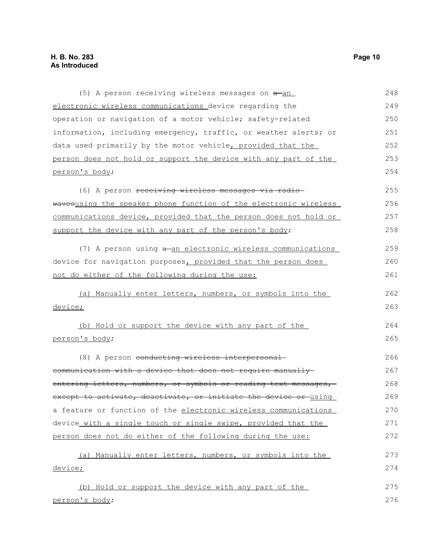| (5) A person receiving wireless messages on $a$ -an              | 248 |
|------------------------------------------------------------------|-----|
| electronic wireless communications device regarding the          | 249 |
| operation or navigation of a motor vehicle; safety-related       | 250 |
| information, including emergency, traffic, or weather alerts; or | 251 |
| data used primarily by the motor vehicle, provided that the      | 252 |
| person does not hold or support the device with any part of the  | 253 |
| person's body;                                                   | 254 |
| (6) A person receiving wireless messages via radio-              | 255 |
| wavesusing the speaker phone function of the electronic wireless | 256 |
| communications device, provided that the person does not hold or | 257 |
| support the device with any part of the person's body;           | 258 |
| (7) A person using a an electronic wireless communications       | 259 |
| device for navigation purposes, provided that the person does    | 260 |
| not do either of the following during the use:                   | 261 |
| (a) Manually enter letters, numbers, or symbols into the         | 262 |
| device;                                                          | 263 |
| (b) Hold or support the device with any part of the              | 264 |
| person's body;                                                   | 265 |
| (8) A person conducting wireless interpersonal-                  | 266 |
| communication with a device that does not require manually       | 267 |
| entering letters, numbers, or symbols or reading text messages,  | 268 |
| except to activate, deactivate, or initiate the device or using  | 269 |
| a feature or function of the electronic wireless communications  | 270 |
| device with a single touch or single swipe, provided that the    | 271 |
| person does not do either of the following during the use:       | 272 |
| (a) Manually enter letters, numbers, or symbols into the         | 273 |
| device;                                                          | 274 |
| (b) Hold or support the device with any part of the              | 275 |
| person's body;                                                   | 276 |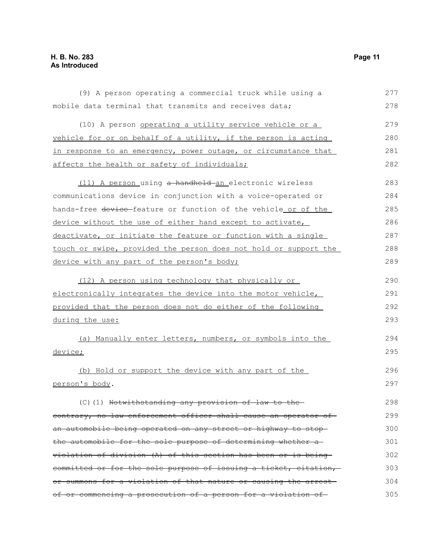| (9) A person operating a commercial truck while using a          | 277 |
|------------------------------------------------------------------|-----|
| mobile data terminal that transmits and receives data;           | 278 |
| (10) A person operating a utility service vehicle or a           | 279 |
| vehicle for or on behalf of a utility, if the person is acting   | 280 |
| in response to an emergency, power outage, or circumstance that  | 281 |
| affects the health or safety of individuals;                     | 282 |
| (11) A person using a handheld an electronic wireless            | 283 |
| communications device in conjunction with a voice-operated or    | 284 |
| hands-free device-feature or function of the vehicle or of the   | 285 |
| device without the use of either hand except to activate,        | 286 |
| deactivate, or initiate the feature or function with a single    | 287 |
| touch or swipe, provided the person does not hold or support the | 288 |
| device with any part of the person's body;                       | 289 |
| (12) A person using technology that physically or                | 290 |
| electronically integrates the device into the motor vehicle,     | 291 |
| provided that the person does not do either of the following     | 292 |
| during the use:                                                  | 293 |
| (a) Manually enter letters, numbers, or symbols into the         | 294 |
| device;                                                          | 295 |
| (b) Hold or support the device with any part of the              | 296 |
| person's body.                                                   | 297 |
| (C)(1) Notwithstanding any provision of law to                   | 298 |
| eontrary, no law enforcement officer shall cause an operator of  | 299 |
| an automobile being operated on any street or highway to stop-   | 300 |
| the automobile for the sole purpose of determining whether a     | 301 |
| violation of division (A) of this section has been or is being   | 302 |
| committed or for the sole purpose of issuing a ticket, citation, | 303 |
| or summons for a violation of that nature or causing the arrest- | 304 |
| of or commencing a prosecution of a person for a violation of    | 305 |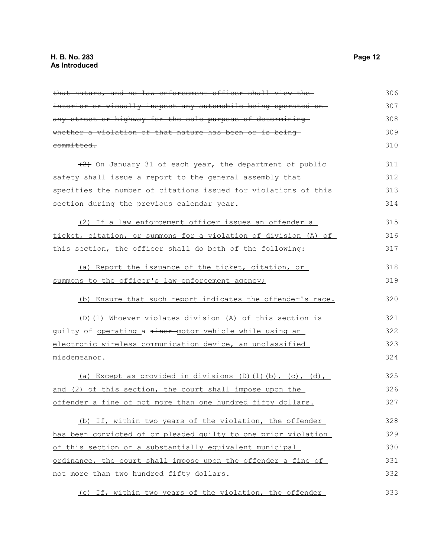that nature, and no law enforcement officer shall view the interior or visually inspect any automobile being operated on any street or highway for the sole purpose of determining whether a violation of that nature has been or is being committed.  $(2)$  On January 31 of each year, the department of public safety shall issue a report to the general assembly that specifies the number of citations issued for violations of this section during the previous calendar year. (2) If a law enforcement officer issues an offender a ticket, citation, or summons for a violation of division (A) of this section, the officer shall do both of the following: (a) Report the issuance of the ticket, citation, or summons to the officer's law enforcement agency; (b) Ensure that such report indicates the offender's race. (D)(1) Whoever violates division (A) of this section is guilty of operating a minor motor vehicle while using an electronic wireless communication device, an unclassified misdemeanor. (a) Except as provided in divisions  $(D)$   $(1)$   $(b)$ ,  $(c)$ ,  $(d)$ , and (2) of this section, the court shall impose upon the offender a fine of not more than one hundred fifty dollars. (b) If, within two years of the violation, the offender has been convicted of or pleaded guilty to one prior violation of this section or a substantially equivalent municipal ordinance, the court shall impose upon the offender a fine of not more than two hundred fifty dollars. (c) If, within two years of the violation, the offender 306 307 308 309 310 311 312 313 314 315 316 317 318 319 320 321 322 323 324 325 326 327 328 329 330 331 332 333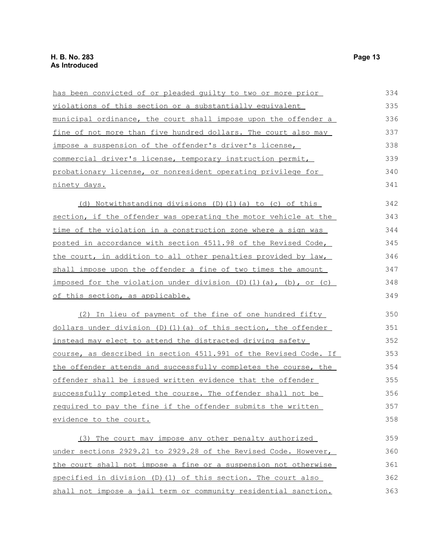| has been convicted of or pleaded guilty to two or more prior     | 334 |
|------------------------------------------------------------------|-----|
| violations of this section or a substantially equivalent         | 335 |
| municipal ordinance, the court shall impose upon the offender a  | 336 |
| fine of not more than five hundred dollars. The court also may   | 337 |
| impose a suspension of the offender's driver's license,          | 338 |
| commercial driver's license, temporary instruction permit,       | 339 |
| probationary license, or nonresident operating privilege for     | 340 |
| ninety days.                                                     | 341 |
| (d) Notwithstanding divisions (D)(1)(a) to (c) of this           | 342 |
| section, if the offender was operating the motor vehicle at the  | 343 |
| time of the violation in a construction zone where a sign was    | 344 |
| posted in accordance with section 4511.98 of the Revised Code,   | 345 |
| the court, in addition to all other penalties provided by law,   | 346 |
| shall impose upon the offender a fine of two times the amount    | 347 |
| imposed for the violation under division (D)(1)(a), (b), or (c)  | 348 |
| of this section, as applicable.                                  | 349 |
| (2) In lieu of payment of the fine of one hundred fifty          | 350 |
| dollars under division (D)(1)(a) of this section, the offender   | 351 |
| instead may elect to attend the distracted driving safety        | 352 |
| course, as described in section 4511.991 of the Revised Code. If | 353 |
| the offender attends and successfully completes the course, the  | 354 |
| offender shall be issued written evidence that the offender      | 355 |
| successfully completed the course. The offender shall not be     | 356 |
| required to pay the fine if the offender submits the written     | 357 |
| evidence to the court.                                           | 358 |
| (3) The court may impose any other penalty authorized            | 359 |
| under sections 2929.21 to 2929.28 of the Revised Code. However,  | 360 |
| the court shall not impose a fine or a suspension not otherwise  | 361 |
| specified in division $(D)$ (1) of this section. The court also  | 362 |
| shall not impose a jail term or community residential sanction.  | 363 |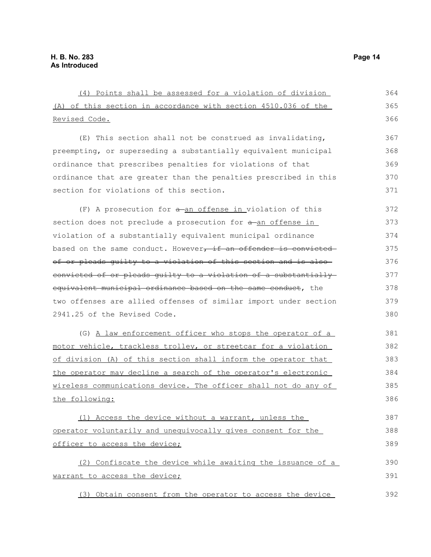| (4) Points shall be assessed for a violation of division         | 364 |
|------------------------------------------------------------------|-----|
| (A) of this section in accordance with section 4510.036 of the   | 365 |
| Revised Code.                                                    | 366 |
| $(E)$ This section shall not be construed as invalidating,       | 367 |
| preempting, or superseding a substantially equivalent municipal  | 368 |
| ordinance that prescribes penalties for violations of that       | 369 |
| ordinance that are greater than the penalties prescribed in this | 370 |
| section for violations of this section.                          | 371 |
| $(F)$ A prosecution for $a$ -an offense in violation of this     | 372 |
| section does not preclude a prosecution for a an offense in      | 373 |
| violation of a substantially equivalent municipal ordinance      | 374 |
| based on the same conduct. However, if an offender is convicted  | 375 |
| of or pleads quilty to a violation of this section and is also-  | 376 |
| convicted of or pleads quilty to a violation of a substantially  | 377 |
| equivalent municipal ordinance based on the same conduct, the    | 378 |
| two offenses are allied offenses of similar import under section | 379 |
| 2941.25 of the Revised Code.                                     | 380 |
| (G) A law enforcement officer who stops the operator of a        | 381 |
| motor vehicle, trackless trolley, or streetcar for a violation   | 382 |
| of division (A) of this section shall inform the operator that   | 383 |
| the operator may decline a search of the operator's electronic   | 384 |
| wireless communications device. The officer shall not do any of  | 385 |
| the following:                                                   | 386 |
| (1) Access the device without a warrant, unless the              | 387 |
| operator voluntarily and unequivocally gives consent for the     | 388 |
| officer to access the device;                                    | 389 |
| (2) Confiscate the device while awaiting the issuance of a       | 390 |
| warrant to access the device;                                    | 391 |
| (3) Obtain consent from the operator to access the device        | 392 |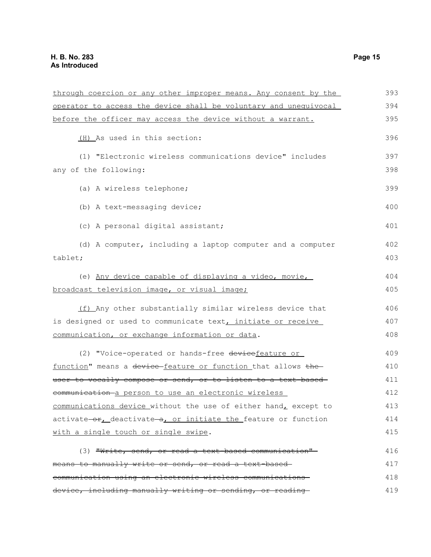| through coercion or any other improper means. Any consent by the | 393 |
|------------------------------------------------------------------|-----|
| operator to access the device shall be voluntary and unequivocal | 394 |
| before the officer may access the device without a warrant.      | 395 |
| (H) As used in this section:                                     | 396 |
| (1) "Electronic wireless communications device" includes         | 397 |
| any of the following:                                            | 398 |
| (a) A wireless telephone;                                        | 399 |
| (b) A text-messaging device;                                     | 400 |
| (c) A personal digital assistant;                                | 401 |
| (d) A computer, including a laptop computer and a computer       | 402 |
| tablet;                                                          | 403 |
| (e) Any device capable of displaying a video, movie,             | 404 |
| broadcast television image, or visual image;                     | 405 |
| (f) Any other substantially similar wireless device that         | 406 |
| is designed or used to communicate text, initiate or receive     | 407 |
| communication, or exchange information or data.                  | 408 |
| (2) "Voice-operated or hands-free devicefeature or               | 409 |
| function" means a device-feature or function that allows the-    | 410 |
| user to vocally compose or send, or to listen to a text-based-   | 411 |
| communication a person to use an electronic wireless             | 412 |
| communications device without the use of either hand, except to  | 413 |
| activate-or, deactivate-a, or initiate the feature or function   | 414 |
| with a single touch or single swipe.                             | 415 |
| (3) "Write, send, or read a text-based communication"-           | 416 |
| means to manually write or send, or read a text-based-           | 417 |
| communication using an electronic wireless communications        | 418 |
| device, including manually writing or sending, or reading-       | 419 |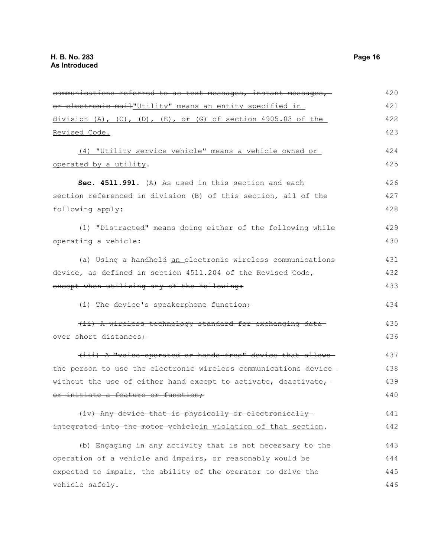| communications referred to as text messages, instant messages,              | 420 |
|-----------------------------------------------------------------------------|-----|
| or electronic mail"Utility" means an entity specified in                    | 421 |
| $division (A)$ , $(C)$ , $(D)$ , $(E)$ , $or (G)$ of section 4905.03 of the | 422 |
| Revised Code.                                                               | 423 |
| (4) "Utility service vehicle" means a vehicle owned or                      | 424 |
| operated by a utility.                                                      | 425 |
| Sec. 4511.991. (A) As used in this section and each                         | 426 |
| section referenced in division (B) of this section, all of the              | 427 |
| following apply:                                                            | 428 |
| (1) "Distracted" means doing either of the following while                  | 429 |
| operating a vehicle:                                                        | 430 |
| (a) Using a handheld an electronic wireless communications                  | 431 |
| device, as defined in section 4511.204 of the Revised Code,                 | 432 |
| except when utilizing any of the following:                                 | 433 |
| (i) The device's speakerphone function;                                     | 434 |
| (ii) A wireless technology standard for exchanging data                     | 435 |
| over short distances;                                                       | 436 |
| (iii) A "voice-operated or hands-free" device that allows-                  | 437 |
| the person to use the electronic wireless communications device-            | 438 |
| without the use of either hand except to activate, deactivate,              | 439 |
| or initiate a feature or function;                                          | 440 |
| (iv) Any device that is physically or electronically-                       | 441 |
| integrated into the motor vehiclein violation of that section.              | 442 |
| (b) Engaging in any activity that is not necessary to the                   | 443 |
| operation of a vehicle and impairs, or reasonably would be                  | 444 |
| expected to impair, the ability of the operator to drive the                | 445 |
| vehicle safely.                                                             | 446 |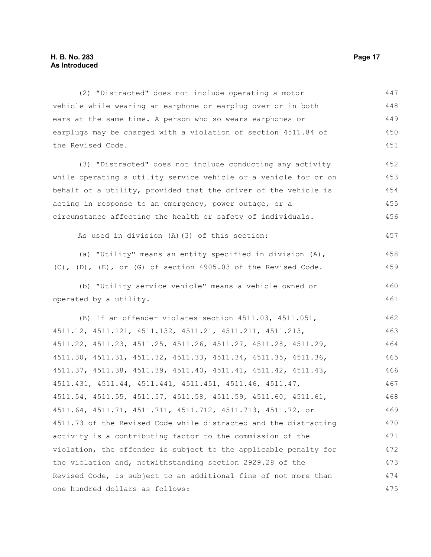(2) "Distracted" does not include operating a motor vehicle while wearing an earphone or earplug over or in both ears at the same time. A person who so wears earphones or earplugs may be charged with a violation of section 4511.84 of the Revised Code. (3) "Distracted" does not include conducting any activity while operating a utility service vehicle or a vehicle for or on behalf of a utility, provided that the driver of the vehicle is acting in response to an emergency, power outage, or a circumstance affecting the health or safety of individuals. As used in division (A)(3) of this section: (a) "Utility" means an entity specified in division (A), (C), (D), (E), or (G) of section 4905.03 of the Revised Code. (b) "Utility service vehicle" means a vehicle owned or operated by a utility. (B) If an offender violates section 4511.03, 4511.051, 4511.12, 4511.121, 4511.132, 4511.21, 4511.211, 4511.213, 4511.22, 4511.23, 4511.25, 4511.26, 4511.27, 4511.28, 4511.29, 4511.30, 4511.31, 4511.32, 4511.33, 4511.34, 4511.35, 4511.36, 4511.37, 4511.38, 4511.39, 4511.40, 4511.41, 4511.42, 4511.43, 4511.431, 4511.44, 4511.441, 4511.451, 4511.46, 4511.47, 4511.54, 4511.55, 4511.57, 4511.58, 4511.59, 4511.60, 4511.61, 4511.64, 4511.71, 4511.711, 4511.712, 4511.713, 4511.72, or 4511.73 of the Revised Code while distracted and the distracting activity is a contributing factor to the commission of the violation, the offender is subject to the applicable penalty for the violation and, notwithstanding section 2929.28 of the Revised Code, is subject to an additional fine of not more than one hundred dollars as follows: 447 448 449 450 451 452 453 454 455 456 457 458 459 460 461 462 463 464 465 466 467 468 469 470 471 472 473 474 475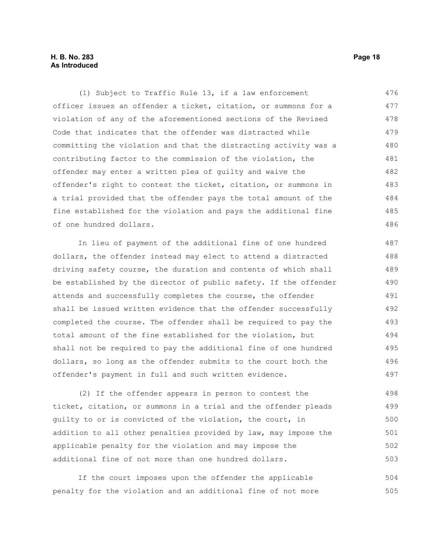#### **H. B. No. 283 Page 18 As Introduced**

(1) Subject to Traffic Rule 13, if a law enforcement officer issues an offender a ticket, citation, or summons for a violation of any of the aforementioned sections of the Revised Code that indicates that the offender was distracted while committing the violation and that the distracting activity was a contributing factor to the commission of the violation, the offender may enter a written plea of guilty and waive the offender's right to contest the ticket, citation, or summons in a trial provided that the offender pays the total amount of the fine established for the violation and pays the additional fine of one hundred dollars. 476 477 478 479 480 481 482 483 484 485 486

In lieu of payment of the additional fine of one hundred dollars, the offender instead may elect to attend a distracted driving safety course, the duration and contents of which shall be established by the director of public safety. If the offender attends and successfully completes the course, the offender shall be issued written evidence that the offender successfully completed the course. The offender shall be required to pay the total amount of the fine established for the violation, but shall not be required to pay the additional fine of one hundred dollars, so long as the offender submits to the court both the offender's payment in full and such written evidence. 487 488 489 490 491 492 493 494 495 496 497

(2) If the offender appears in person to contest the ticket, citation, or summons in a trial and the offender pleads guilty to or is convicted of the violation, the court, in addition to all other penalties provided by law, may impose the applicable penalty for the violation and may impose the additional fine of not more than one hundred dollars. 498 499 500 501 502 503

If the court imposes upon the offender the applicable penalty for the violation and an additional fine of not more 504 505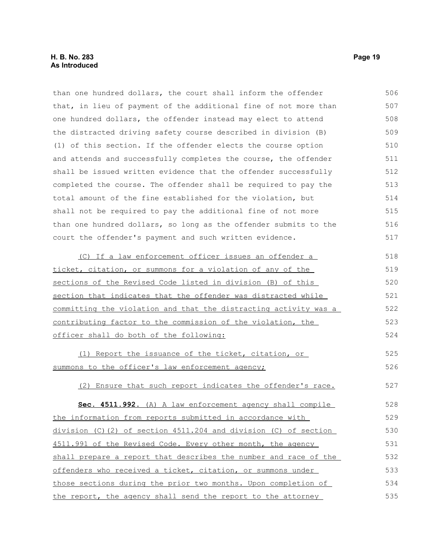| than one hundred dollars, the court shall inform the offender    | 506 |
|------------------------------------------------------------------|-----|
| that, in lieu of payment of the additional fine of not more than | 507 |
| one hundred dollars, the offender instead may elect to attend    | 508 |
| the distracted driving safety course described in division (B)   | 509 |
| (1) of this section. If the offender elects the course option    | 510 |
| and attends and successfully completes the course, the offender  | 511 |
| shall be issued written evidence that the offender successfully  | 512 |
| completed the course. The offender shall be required to pay the  | 513 |
| total amount of the fine established for the violation, but      | 514 |
| shall not be required to pay the additional fine of not more     | 515 |
| than one hundred dollars, so long as the offender submits to the | 516 |
| court the offender's payment and such written evidence.          | 517 |
| (C) If a law enforcement officer issues an offender a            | 518 |
| ticket, citation, or summons for a violation of any of the       | 519 |
| sections of the Revised Code listed in division (B) of this      | 520 |
| section that indicates that the offender was distracted while    | 521 |
| committing the violation and that the distracting activity was a | 522 |
| contributing factor to the commission of the violation, the      | 523 |
| officer shall do both of the following:                          | 524 |
| (1) Report the issuance of the ticket, citation, or              | 525 |
| summons to the officer's law enforcement agency;                 | 526 |
| (2) Ensure that such report indicates the offender's race.       | 527 |
| Sec. 4511.992. (A) A law enforcement agency shall compile        | 528 |
| the information from reports submitted in accordance with        | 529 |
| division (C)(2) of section 4511.204 and division (C) of section  | 530 |
| 4511.991 of the Revised Code. Every other month, the agency      | 531 |
| shall prepare a report that describes the number and race of the | 532 |
| offenders who received a ticket, citation, or summons under      | 533 |
| those sections during the prior two months. Upon completion of   | 534 |
| the report, the agency shall send the report to the attorney     | 535 |